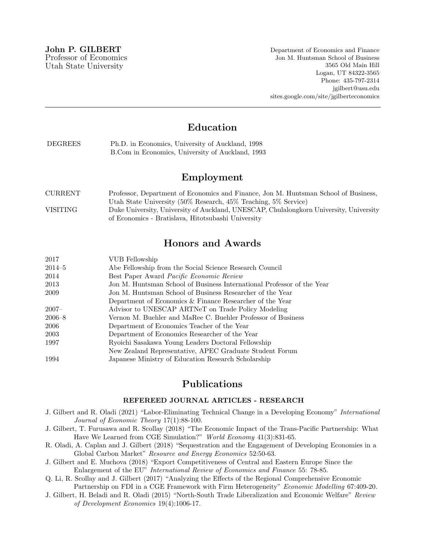Department of Economics and Finance Jon M. Huntsman School of Business 3565 Old Main Hill Logan, UT 84322-3565 Phone: 435-797-2314 jgilbert@usu.edu sites.google.com/site/jgilberteconomics

# Education

| <b>DEGREES</b> | Ph.D. in Economics, University of Auckland, 1998 |
|----------------|--------------------------------------------------|
|                | B.Com in Economics, University of Auckland, 1993 |

# Employment

| CURRENT  | Professor, Department of Economics and Finance, Jon M. Huntsman School of Business,    |
|----------|----------------------------------------------------------------------------------------|
|          | Utah State University (50% Research, 45% Teaching, 5% Service)                         |
| VISITING | Duke University, University of Auckland, UNESCAP, Chulalongkorn University, University |
|          | of Economics - Bratislava, Hitotsubashi University                                     |

## Honors and Awards

| 2017       | VUB Fellowship                                                         |
|------------|------------------------------------------------------------------------|
| $2014 - 5$ | Abe Fellowship from the Social Science Research Council                |
| 2014       | Best Paper Award Pacific Economic Review                               |
| 2013       | Jon M. Huntsman School of Business International Professor of the Year |
| 2009       | Jon M. Huntsman School of Business Researcher of the Year              |
|            | Department of Economics & Finance Researcher of the Year               |
| $2007 -$   | Advisor to UNESCAP ARTNeT on Trade Policy Modeling                     |
| $2006 - 8$ | Vernon M. Buehler and MaRee C. Buehler Professor of Business           |
| 2006       | Department of Economics Teacher of the Year                            |
| 2003       | Department of Economics Researcher of the Year                         |
| 1997       | Ryoichi Sasakawa Young Leaders Doctoral Fellowship                     |
|            | New Zealand Representative, APEC Graduate Student Forum                |
| 1994       | Japanese Ministry of Education Research Scholarship                    |

# Publications

#### REFEREED JOURNAL ARTICLES - RESEARCH

- J. Gilbert and R. Oladi (2021) "Labor-Eliminating Technical Change in a Developing Economy" International Journal of Economic Theory 17(1):88-100.
- J. Gilbert, T. Furusawa and R. Scollay (2018) "The Economic Impact of the Trans-Pacific Partnership: What Have We Learned from CGE Simulation?" World Economy 41(3):831-65.
- R. Oladi, A. Caplan and J. Gilbert (2018) "Sequestration and the Engagement of Developing Economies in a Global Carbon Market" Resource and Energy Economics 52:50-63.
- J. Gilbert and E. Muchova (2018) "Export Competitiveness of Central and Eastern Europe Since the Enlargement of the EU" International Review of Economics and Finance 55: 78-85.

Q. Li, R. Scollay and J. Gilbert (2017) "Analyzing the Effects of the Regional Comprehensive Economic Partnership on FDI in a CGE Framework with Firm Heterogeneity" Economic Modelling 67:409-20.

J. Gilbert, H. Beladi and R. Oladi (2015) "North-South Trade Liberalization and Economic Welfare" Review of Development Economics 19(4):1006-17.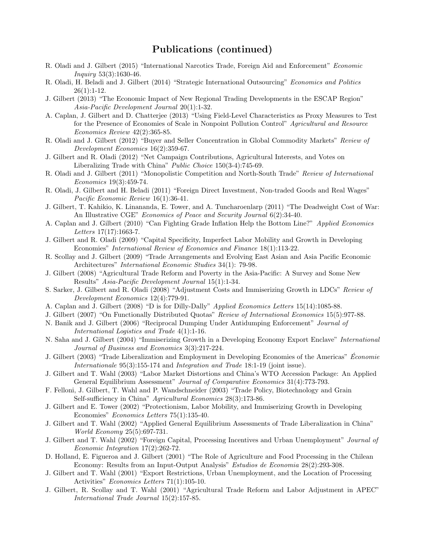- R. Oladi and J. Gilbert (2015) "International Narcotics Trade, Foreign Aid and Enforcement" Economic Inquiry 53(3):1630-46.
- R. Oladi, H. Beladi and J. Gilbert (2014) "Strategic International Outsourcing" Economics and Politics  $26(1):1-12.$
- J. Gilbert (2013) "The Economic Impact of New Regional Trading Developments in the ESCAP Region" Asia-Pacific Development Journal 20(1):1-32.
- A. Caplan, J. Gilbert and D. Chatterjee (2013) "Using Field-Level Characteristics as Proxy Measures to Test for the Presence of Economies of Scale in Nonpoint Pollution Control" Agricultural and Resource Economics Review 42(2):365-85.
- R. Oladi and J. Gilbert (2012) "Buyer and Seller Concentration in Global Commodity Markets" Review of Development Economics 16(2):359-67.
- J. Gilbert and R. Oladi (2012) "Net Campaign Contributions, Agricultural Interests, and Votes on Liberalizing Trade with China" Public Choice 150(3-4):745-69.
- R. Oladi and J. Gilbert (2011) "Monopolistic Competition and North-South Trade" Review of International Economics 19(3):459-74.
- R. Oladi, J. Gilbert and H. Beladi (2011) "Foreign Direct Investment, Non-traded Goods and Real Wages" Pacific Economic Review 16(1):36-41.
- J. Gilbert, T. Kahikio, K. Linananda, E. Tower, and A. Tuncharoenlarp (2011) "The Deadweight Cost of War: An Illustrative CGE" Economics of Peace and Security Journal 6(2):34-40.
- A. Caplan and J. Gilbert (2010) "Can Fighting Grade Inflation Help the Bottom Line?" Applied Economics Letters 17(17):1663-7.
- J. Gilbert and R. Oladi (2009) "Capital Specificity, Imperfect Labor Mobility and Growth in Developing Economies" International Review of Economics and Finance 18(1):113-22.
- R. Scollay and J. Gilbert (2009) "Trade Arrangements and Evolving East Asian and Asia Pacific Economic Architectures" International Economic Studies 34(1): 79-98.
- J. Gilbert (2008) "Agricultural Trade Reform and Poverty in the Asia-Pacific: A Survey and Some New Results" Asia-Pacific Development Journal 15(1):1-34.
- S. Sarker, J. Gilbert and R. Oladi (2008) "Adjustment Costs and Immiserizing Growth in LDCs" Review of Development Economics 12(4):779-91.
- A. Caplan and J. Gilbert (2008) "D is for Dilly-Dally" Applied Economics Letters 15(14):1085-88.
- J. Gilbert (2007) "On Functionally Distributed Quotas" Review of International Economics 15(5):977-88.
- N. Banik and J. Gilbert (2006) "Reciprocal Dumping Under Antidumping Enforcement" Journal of International Logistics and Trade 4(1):1-16.
- N. Saha and J. Gilbert (2004) "Immiserizing Growth in a Developing Economy Export Enclave" International Journal of Business and Economics 3(3):217-224.
- J. Gilbert (2003) "Trade Liberalization and Employment in Developing Economies of the Americas" Economie Internationale 95(3):155-174 and Integration and Trade 18:1-19 (joint issue).
- J. Gilbert and T. Wahl (2003) "Labor Market Distortions and China's WTO Accession Package: An Applied General Equilibrium Assessment" Journal of Comparative Economics 31(4):773-793.
- F. Felloni, J. Gilbert, T. Wahl and P. Wandschneider (2003) "Trade Policy, Biotechnology and Grain Self-sufficiency in China" Agricultural Economics 28(3):173-86.
- J. Gilbert and E. Tower (2002) "Protectionism, Labor Mobility, and Immiserizing Growth in Developing Economies" Economics Letters 75(1):135-40.
- J. Gilbert and T. Wahl (2002) "Applied General Equilibrium Assessments of Trade Liberalization in China" World Economy 25(5):697-731.
- J. Gilbert and T. Wahl (2002) "Foreign Capital, Processing Incentives and Urban Unemployment" Journal of Economic Integration 17(2):262-72.
- D. Holland, E. Figueroa and J. Gilbert (2001) "The Role of Agriculture and Food Processing in the Chilean Economy: Results from an Input-Output Analysis" Estudios de Economia 28(2):293-308.
- J. Gilbert and T. Wahl (2001) "Export Restrictions, Urban Unemployment, and the Location of Processing Activities" Economics Letters 71(1):105-10.
- J. Gilbert, R. Scollay and T. Wahl (2001) "Agricultural Trade Reform and Labor Adjustment in APEC" International Trade Journal 15(2):157-85.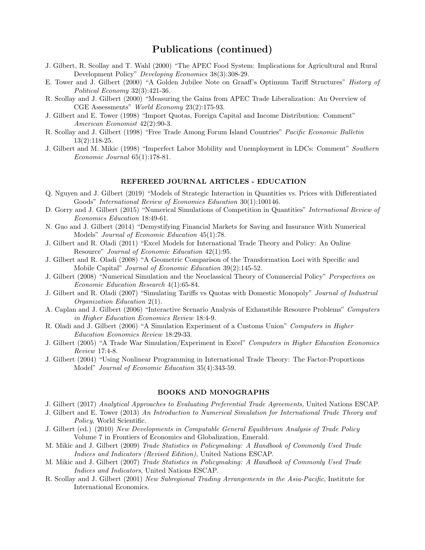- J. Gilbert, R. Scollay and T. Wahl (2000) "The APEC Food System: Implications for Agricultural and Rural Development Policy" Developing Economies 38(3):308-29.
- E. Tower and J. Gilbert (2000) "A Golden Jubilee Note on Graaff's Optimum Tariff Structures" History of Political Economy 32(3):421-36.
- R. Scollay and J. Gilbert (2000) "Measuring the Gains from APEC Trade Liberalization: An Overview of CGE Assessments" World Economy 23(2):175-93.
- J. Gilbert and E. Tower (1998) "Import Quotas, Foreign Capital and Income Distribution: Comment" American Economist 42(2):90-3.
- R. Scollay and J. Gilbert (1998) "Free Trade Among Forum Island Countries" Pacific Economic Bulletin 13(2):118-25.
- J. Gilbert and M. Mikic (1998) "Imperfect Labor Mobility and Unemployment in LDCs: Comment" Southern Economic Journal 65(1):178-81.

#### REFEREED JOURNAL ARTICLES - EDUCATION

- Q. Nguyen and J. Gilbert (2019) "Models of Strategic Interaction in Quantities vs. Prices with Differentiated Goods" International Review of Economics Education 30(1):100146.
- D. Gorry and J. Gilbert (2015) "Numerical Simulations of Competition in Quantities" International Review of Economics Education 18:49-61.
- N. Guo and J. Gilbert (2014) "Demystifying Financial Markets for Saving and Insurance With Numerical Models" Journal of Economic Education 45(1):78.
- J. Gilbert and R. Oladi (2011) "Excel Models for International Trade Theory and Policy: An Online Resource" Journal of Economic Education 42(1):95.
- J. Gilbert and R. Oladi (2008) "A Geometric Comparison of the Transformation Loci with Specific and Mobile Capital" Journal of Economic Education 39(2):145-52.
- J. Gilbert (2008) "Numerical Simulation and the Neoclassical Theory of Commercial Policy" Perspectives on Economic Education Research 4(1):65-84.
- J. Gilbert and R. Oladi (2007) "Simulating Tariffs vs Quotas with Domestic Monopoly" Journal of Industrial Organization Education 2(1).
- A. Caplan and J. Gilbert (2006) "Interactive Scenario Analysis of Exhaustible Resource Problems" Computers in Higher Education Economics Review 18:4-9.
- R. Oladi and J. Gilbert (2006) "A Simulation Experiment of a Customs Union" Computers in Higher Education Economics Review 18:29-33.
- J. Gilbert (2005) "A Trade War Simulation/Experiment in Excel" Computers in Higher Education Economics Review 17:4-8.
- J. Gilbert (2004) "Using Nonlinear Programming in International Trade Theory: The Factor-Proportions Model" Journal of Economic Education 35(4):343-59.

#### BOOKS AND MONOGRAPHS

- J. Gilbert (2017) Analytical Approaches to Evaluating Preferential Trade Agreements, United Nations ESCAP.
- J. Gilbert and E. Tower (2013) An Introduction to Numerical Simulation for International Trade Theory and Policy, World Scientific.
- J. Gilbert (ed.) (2010) New Developments in Computable General Equilibrium Analysis of Trade Policy Volume 7 in Frontiers of Economics and Globalization, Emerald.
- M. Mikic and J. Gilbert (2009) Trade Statistics in Policymaking: A Handbook of Commonly Used Trade Indices and Indicators (Revised Edition), United Nations ESCAP.
- M. Mikic and J. Gilbert (2007) Trade Statistics in Policymaking: A Handbook of Commonly Used Trade Indices and Indicators, United Nations ESCAP.
- R. Scollay and J. Gilbert (2001) New Subregional Trading Arrangements in the Asia-Pacific, Institute for International Economics.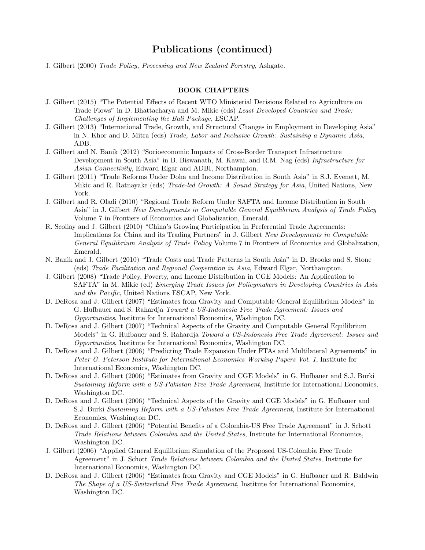J. Gilbert (2000) Trade Policy, Processing and New Zealand Forestry, Ashgate.

#### BOOK CHAPTERS

- J. Gilbert (2015) "The Potential Effects of Recent WTO Ministerial Decisions Related to Agriculture on Trade Flows" in D. Bhattacharya and M. Mikic (eds) Least Developed Countries and Trade: Challenges of Implementing the Bali Package, ESCAP.
- J. Gilbert (2013) "International Trade, Growth, and Structural Changes in Employment in Developing Asia" in N. Khor and D. Mitra (eds) Trade, Labor and Inclusive Growth: Sustaining a Dynamic Asia, ADB.
- J. Gilbert and N. Banik (2012) "Socioeconomic Impacts of Cross-Border Transport Infrastructure Development in South Asia" in B. Biswanath, M. Kawai, and R.M. Nag (eds) Infrastructure for Asian Connectivity, Edward Elgar and ADBI, Northampton.
- J. Gilbert (2011) "Trade Reforms Under Doha and Income Distribution in South Asia" in S.J. Evenett, M. Mikic and R. Ratnayake (eds) Trade-led Growth: A Sound Strategy for Asia, United Nations, New York.
- J. Gilbert and R. Oladi (2010) "Regional Trade Reform Under SAFTA and Income Distribution in South Asia" in J. Gilbert New Developments in Computable General Equilibrium Analysis of Trade Policy Volume 7 in Frontiers of Economics and Globalization, Emerald.
- R. Scollay and J. Gilbert (2010) "China's Growing Participation in Preferential Trade Agreements: Implications for China and its Trading Partners" in J. Gilbert New Developments in Computable General Equilibrium Analysis of Trade Policy Volume 7 in Frontiers of Economics and Globalization, Emerald.
- N. Banik and J. Gilbert (2010) "Trade Costs and Trade Patterns in South Asia" in D. Brooks and S. Stone (eds) Trade Facilitation and Regional Cooperation in Asia, Edward Elgar, Northampton.
- J. Gilbert (2008) "Trade Policy, Poverty, and Income Distribution in CGE Models: An Application to SAFTA" in M. Mikic (ed) *Emerging Trade Issues for Policymakers in Developing Countries in Asia* and the Pacific, United Nations ESCAP, New York.
- D. DeRosa and J. Gilbert (2007) "Estimates from Gravity and Computable General Equilibrium Models" in G. Hufbauer and S. Rahardja Toward a US-Indonesia Free Trade Agreement: Issues and Opportunities, Institute for International Economics, Washington DC.
- D. DeRosa and J. Gilbert (2007) "Technical Aspects of the Gravity and Computable General Equilibrium Models" in G. Hufbauer and S. Rahardja Toward a US-Indonesia Free Trade Agreement: Issues and Opportunities, Institute for International Economics, Washington DC.
- D. DeRosa and J. Gilbert (2006) "Predicting Trade Expansion Under FTAs and Multilateral Agreements" in Peter G. Peterson Institute for International Economics Working Papers Vol. 1, Institute for International Economics, Washington DC.
- D. DeRosa and J. Gilbert (2006) "Estimates from Gravity and CGE Models" in G. Hufbauer and S.J. Burki Sustaining Reform with a US-Pakistan Free Trade Agreement, Institute for International Economics, Washington DC.
- D. DeRosa and J. Gilbert (2006) "Technical Aspects of the Gravity and CGE Models" in G. Hufbauer and S.J. Burki Sustaining Reform with a US-Pakistan Free Trade Agreement, Institute for International Economics, Washington DC.
- D. DeRosa and J. Gilbert (2006) "Potential Benefits of a Colombia-US Free Trade Agreement" in J. Schott Trade Relations between Colombia and the United States, Institute for International Economics, Washington DC.
- J. Gilbert (2006) "Applied General Equilibrium Simulation of the Proposed US-Colombia Free Trade Agreement" in J. Schott Trade Relations between Colombia and the United States, Institute for International Economics, Washington DC.
- D. DeRosa and J. Gilbert (2006) "Estimates from Gravity and CGE Models" in G. Hufbauer and R. Baldwin The Shape of a US-Switzerland Free Trade Agreement, Institute for International Economics, Washington DC.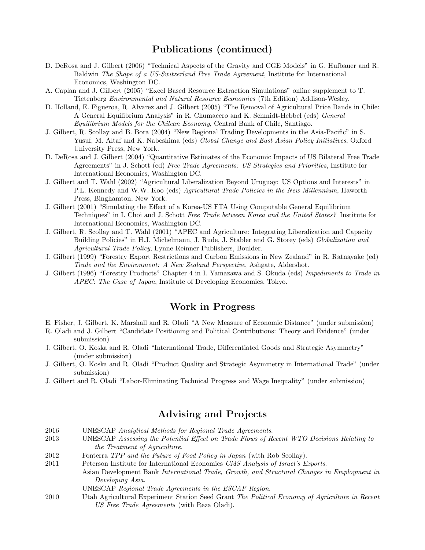- D. DeRosa and J. Gilbert (2006) "Technical Aspects of the Gravity and CGE Models" in G. Hufbauer and R. Baldwin The Shape of a US-Switzerland Free Trade Agreement, Institute for International Economics, Washington DC.
- A. Caplan and J. Gilbert (2005) "Excel Based Resource Extraction Simulations" online supplement to T. Tietenberg Environmental and Natural Resource Economics (7th Edition) Addison-Wesley.
- D. Holland, E. Figueroa, R. Alvarez and J. Gilbert (2005) "The Removal of Agricultural Price Bands in Chile: A General Equilibrium Analysis" in R. Chumacero and K. Schmidt-Hebbel (eds) General Equilibrium Models for the Chilean Economy, Central Bank of Chile, Santiago.
- J. Gilbert, R. Scollay and B. Bora (2004) "New Regional Trading Developments in the Asia-Pacific" in S. Yusuf, M. Altaf and K. Nabeshima (eds) Global Change and East Asian Policy Initiatives, Oxford University Press, New York.
- D. DeRosa and J. Gilbert (2004) "Quantitative Estimates of the Economic Impacts of US Bilateral Free Trade Agreements" in J. Schott (ed) Free Trade Agreements: US Strategies and Priorities, Institute for International Economics, Washington DC.
- J. Gilbert and T. Wahl (2002) "Agricultural Liberalization Beyond Uruguay: US Options and Interests" in P.L. Kennedy and W.W. Koo (eds) Agricultural Trade Policies in the New Millennium, Haworth Press, Binghamton, New York.
- J. Gilbert (2001) "Simulating the Effect of a Korea-US FTA Using Computable General Equilibrium Techniques" in I. Choi and J. Schott Free Trade between Korea and the United States? Institute for International Economics, Washington DC.
- J. Gilbert, R. Scollay and T. Wahl (2001) "APEC and Agriculture: Integrating Liberalization and Capacity Building Policies" in H.J. Michelmann, J. Rude, J. Stabler and G. Storey (eds) *Globalization and* Agricultural Trade Policy, Lynne Reinner Publishers, Boulder.
- J. Gilbert (1999) "Forestry Export Restrictions and Carbon Emissions in New Zealand" in R. Ratnayake (ed) Trade and the Environment: A New Zealand Perspective, Ashgate, Aldershot.
- J. Gilbert (1996) "Forestry Products" Chapter 4 in I. Yamazawa and S. Okuda (eds) Impediments to Trade in APEC: The Case of Japan, Institute of Developing Economies, Tokyo.

### Work in Progress

- E. Fisher, J. Gilbert, K. Marshall and R. Oladi "A New Measure of Economic Distance" (under submission)
- R. Oladi and J. Gilbert "Candidate Positioning and Political Contributions: Theory and Evidence" (under submission)
- J. Gilbert, O. Koska and R. Oladi "International Trade, Differentiated Goods and Strategic Asymmetry" (under submission)
- J. Gilbert, O. Koska and R. Oladi "Product Quality and Strategic Asymmetry in International Trade" (under submission)
- J. Gilbert and R. Oladi "Labor-Eliminating Technical Progress and Wage Inequality" (under submission)

# Advising and Projects

- 2016 UNESCAP Analytical Methods for Regional Trade Agreements.
- 2013 UNESCAP Assessing the Potential Effect on Trade Flows of Recent WTO Decisions Relating to the Treatment of Agriculture.
- 2012 Fonterra *TPP and the Future of Food Policy in Japan* (with Rob Scollay).
- 2011 Peterson Institute for International Economics CMS Analysis of Israel's Exports. Asian Development Bank International Trade, Growth, and Structural Changes in Employment in Developing Asia.
	- UNESCAP Regional Trade Agreements in the ESCAP Region.
- 2010 Utah Agricultural Experiment Station Seed Grant The Political Economy of Agriculture in Recent US Free Trade Agreements (with Reza Oladi).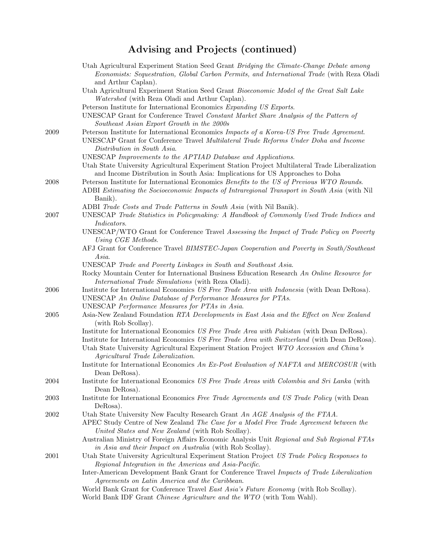# Advising and Projects (continued)

|      | Utah Agricultural Experiment Station Seed Grant Bridging the Climate-Change Debate among<br>Economists: Sequestration, Global Carbon Permits, and International Trade (with Reza Oladi<br>and Arthur Caplan).                                                                          |
|------|----------------------------------------------------------------------------------------------------------------------------------------------------------------------------------------------------------------------------------------------------------------------------------------|
|      | Utah Agricultural Experiment Station Seed Grant Bioeconomic Model of the Great Salt Lake<br>Watershed (with Reza Oladi and Arthur Caplan).                                                                                                                                             |
|      | Peterson Institute for International Economics Expanding US Exports.                                                                                                                                                                                                                   |
|      | UNESCAP Grant for Conference Travel Constant Market Share Analysis of the Pattern of<br>Southeast Asian Export Growth in the 2000s                                                                                                                                                     |
| 2009 | Peterson Institute for International Economics Impacts of a Korea-US Free Trade Agreement.<br>UNESCAP Grant for Conference Travel Multilateral Trade Reforms Under Doha and Income<br>Distribution in South Asia.                                                                      |
|      | UNESCAP Improvements to the APTIAD Database and Applications.<br>Utah State University Agricultural Experiment Station Project Multilateral Trade Liberalization<br>and Income Distribution in South Asia: Implications for US Approaches to Doha                                      |
| 2008 | Peterson Institute for International Economics Benefits to the US of Previous WTO Rounds.<br>ADBI Estimating the Socioeconomic Impacts of Intraregional Transport in South Asia (with Nil<br>Banik).                                                                                   |
| 2007 | ADBI Trade Costs and Trade Patterns in South Asia (with Nil Banik).<br>UNESCAP Trade Statistics in Policymaking: A Handbook of Commonly Used Trade Indices and<br>Indicators.                                                                                                          |
|      | UNESCAP/WTO Grant for Conference Travel Assessing the Impact of Trade Policy on Poverty<br>Using CGE Methods.                                                                                                                                                                          |
|      | AFJ Grant for Conference Travel BIMSTEC-Japan Cooperation and Poverty in South/Southeast<br>Asia.                                                                                                                                                                                      |
|      | UNESCAP Trade and Poverty Linkages in South and Southeast Asia.<br>Rocky Mountain Center for International Business Education Research An Online Resource for<br>International Trade Simulations (with Reza Oladi).                                                                    |
| 2006 | Institute for International Economics US Free Trade Area with Indonesia (with Dean DeRosa).<br>UNESCAP An Online Database of Performance Measures for PTAs.                                                                                                                            |
| 2005 | UNESCAP Performance Measures for PTAs in Asia.<br>Asia-New Zealand Foundation RTA Developments in East Asia and the Effect on New Zealand<br>(with Rob Scollay).                                                                                                                       |
|      | Institute for International Economics US Free Trade Area with Pakistan (with Dean DeRosa).<br>Institute for International Economics US Free Trade Area with Switzerland (with Dean DeRosa).<br>Utah State University Agricultural Experiment Station Project WTO Accession and China's |
|      | Agricultural Trade Liberalization.<br>Institute for International Economics An Ex-Post Evaluation of NAFTA and MERCOSUR (with<br>Dean DeRosa).                                                                                                                                         |
| 2004 | Institute for International Economics US Free Trade Areas with Colombia and Sri Lanka (with<br>Dean DeRosa).                                                                                                                                                                           |
| 2003 | Institute for International Economics Free Trade Agreements and US Trade Policy (with Dean<br>DeRosa).                                                                                                                                                                                 |
| 2002 | Utah State University New Faculty Research Grant An AGE Analysis of the FTAA.<br>APEC Study Centre of New Zealand The Case for a Model Free Trade Agreement between the<br>United States and New Zealand (with Rob Scollay).                                                           |
|      | Australian Ministry of Foreign Affairs Economic Analysis Unit Regional and Sub Regional FTAs<br>in Asia and their Impact on Australia (with Rob Scollay).                                                                                                                              |
| 2001 | Utah State University Agricultural Experiment Station Project US Trade Policy Responses to<br>Regional Integration in the Americas and Asia-Pacific.                                                                                                                                   |
|      | Inter-American Development Bank Grant for Conference Travel Impacts of Trade Liberalization<br>Agreements on Latin America and the Caribbean.                                                                                                                                          |
|      | World Bank Grant for Conference Travel East Asia's Future Economy (with Rob Scollay).<br>World Bank IDF Grant Chinese Agriculture and the WTO (with Tom Wahl).                                                                                                                         |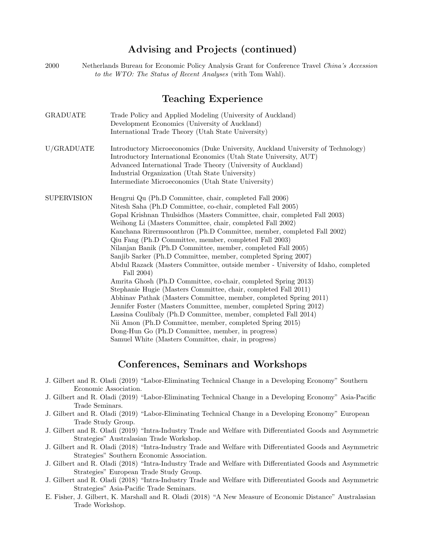# Advising and Projects (continued)

2000 Netherlands Bureau for Economic Policy Analysis Grant for Conference Travel China's Accession to the WTO: The Status of Recent Analyses (with Tom Wahl).

# Teaching Experience

| <b>GRADUATE</b>    | Trade Policy and Applied Modeling (University of Auckland)                                                                                            |
|--------------------|-------------------------------------------------------------------------------------------------------------------------------------------------------|
|                    | Development Economics (University of Auckland)                                                                                                        |
|                    | International Trade Theory (Utah State University)                                                                                                    |
| U/GRADUATE         | Introductory Microeconomics (Duke University, Auckland University of Technology)<br>Introductory International Economics (Utah State University, AUT) |
|                    | Advanced International Trade Theory (University of Auckland)                                                                                          |
|                    | Industrial Organization (Utah State University)                                                                                                       |
|                    | Intermediate Microeconomics (Utah State University)                                                                                                   |
| <b>SUPERVISION</b> | Hengrui Qu (Ph.D Committee, chair, completed Fall 2006)                                                                                               |
|                    | Nitesh Saha (Ph.D Committee, co-chair, completed Fall 2005)                                                                                           |
|                    | Gopal Krishnan Thulsidhos (Masters Committee, chair, completed Fall 2003)                                                                             |
|                    | Weihong Li (Masters Committee, chair, completed Fall 2002)                                                                                            |
|                    | Kanchana Rirermsoonthron (Ph.D Committee, member, completed Fall 2002)                                                                                |
|                    | Qiu Fang (Ph.D Committee, member, completed Fall 2003)                                                                                                |
|                    | Nilanjan Banik (Ph.D Committee, member, completed Fall 2005)                                                                                          |
|                    | Sanjib Sarker (Ph.D Committee, member, completed Spring 2007)                                                                                         |
|                    | Abdul Razack (Masters Committee, outside member - University of Idaho, completed                                                                      |
|                    | Fall 2004)                                                                                                                                            |
|                    | Amrita Ghosh (Ph.D Committee, co-chair, completed Spring 2013)                                                                                        |
|                    | Stephanie Hugie (Masters Committee, chair, completed Fall 2011)                                                                                       |
|                    | Abhinav Pathak (Masters Committee, member, completed Spring 2011)                                                                                     |
|                    | Jennifer Foster (Masters Committee, member, completed Spring 2012)                                                                                    |
|                    | Lassina Coulibaly (Ph.D Committee, member, completed Fall 2014)                                                                                       |
|                    | Nii Amon (Ph.D Committee, member, completed Spring 2015)                                                                                              |
|                    | Dong-Hun Go (Ph.D Committee, member, in progress)                                                                                                     |
|                    | Samuel White (Masters Committee, chair, in progress)                                                                                                  |

### Conferences, Seminars and Workshops

- J. Gilbert and R. Oladi (2019) "Labor-Eliminating Technical Change in a Developing Economy" Southern Economic Association.
- J. Gilbert and R. Oladi (2019) "Labor-Eliminating Technical Change in a Developing Economy" Asia-Pacific Trade Seminars.
- J. Gilbert and R. Oladi (2019) "Labor-Eliminating Technical Change in a Developing Economy" European Trade Study Group.
- J. Gilbert and R. Oladi (2019) "Intra-Industry Trade and Welfare with Differentiated Goods and Asymmetric Strategies" Australasian Trade Workshop.
- J. Gilbert and R. Oladi (2018) "Intra-Industry Trade and Welfare with Differentiated Goods and Asymmetric Strategies" Southern Economic Association.
- J. Gilbert and R. Oladi (2018) "Intra-Industry Trade and Welfare with Differentiated Goods and Asymmetric Strategies" European Trade Study Group.
- J. Gilbert and R. Oladi (2018) "Intra-Industry Trade and Welfare with Differentiated Goods and Asymmetric Strategies" Asia-Pacific Trade Seminars.
- E. Fisher, J. Gilbert, K. Marshall and R. Oladi (2018) "A New Measure of Economic Distance" Australasian Trade Workshop.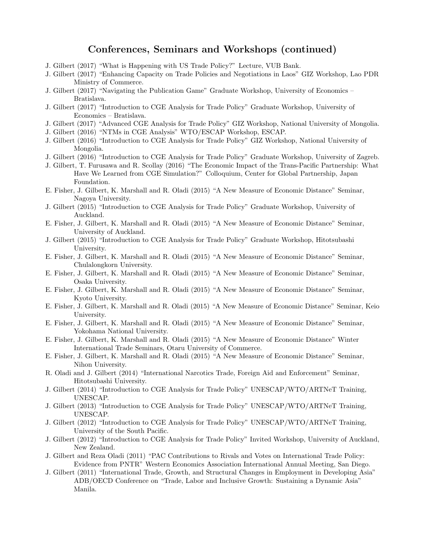## Conferences, Seminars and Workshops (continued)

- J. Gilbert (2017) "What is Happening with US Trade Policy?" Lecture, VUB Bank.
- J. Gilbert (2017) "Enhancing Capacity on Trade Policies and Negotiations in Laos" GIZ Workshop, Lao PDR Ministry of Commerce.
- J. Gilbert (2017) "Navigating the Publication Game" Graduate Workshop, University of Economics Bratislava.
- J. Gilbert (2017) "Introduction to CGE Analysis for Trade Policy" Graduate Workshop, University of Economics – Bratislava.
- J. Gilbert (2017) "Advanced CGE Analysis for Trade Policy" GIZ Workshop, National University of Mongolia.
- J. Gilbert (2016) "NTMs in CGE Analysis" WTO/ESCAP Workshop, ESCAP.
- J. Gilbert (2016) "Introduction to CGE Analysis for Trade Policy" GIZ Workshop, National University of Mongolia.
- J. Gilbert (2016) "Introduction to CGE Analysis for Trade Policy" Graduate Workshop, University of Zagreb.
- J. Gilbert, T. Furusawa and R. Scollay (2016) "The Economic Impact of the Trans-Pacific Partnership: What Have We Learned from CGE Simulation?" Colloquium, Center for Global Partnership, Japan Foundation.
- E. Fisher, J. Gilbert, K. Marshall and R. Oladi (2015) "A New Measure of Economic Distance" Seminar, Nagoya University.
- J. Gilbert (2015) "Introduction to CGE Analysis for Trade Policy" Graduate Workshop, University of Auckland.
- E. Fisher, J. Gilbert, K. Marshall and R. Oladi (2015) "A New Measure of Economic Distance" Seminar, University of Auckland.
- J. Gilbert (2015) "Introduction to CGE Analysis for Trade Policy" Graduate Workshop, Hitotsubashi University.
- E. Fisher, J. Gilbert, K. Marshall and R. Oladi (2015) "A New Measure of Economic Distance" Seminar, Chulalongkorn University.
- E. Fisher, J. Gilbert, K. Marshall and R. Oladi (2015) "A New Measure of Economic Distance" Seminar, Osaka University.
- E. Fisher, J. Gilbert, K. Marshall and R. Oladi (2015) "A New Measure of Economic Distance" Seminar, Kyoto University.
- E. Fisher, J. Gilbert, K. Marshall and R. Oladi (2015) "A New Measure of Economic Distance" Seminar, Keio University.
- E. Fisher, J. Gilbert, K. Marshall and R. Oladi (2015) "A New Measure of Economic Distance" Seminar, Yokohama National University.
- E. Fisher, J. Gilbert, K. Marshall and R. Oladi (2015) "A New Measure of Economic Distance" Winter International Trade Seminars, Otaru University of Commerce.
- E. Fisher, J. Gilbert, K. Marshall and R. Oladi (2015) "A New Measure of Economic Distance" Seminar, Nihon University.
- R. Oladi and J. Gilbert (2014) "International Narcotics Trade, Foreign Aid and Enforcement" Seminar, Hitotsubashi University.
- J. Gilbert (2014) "Introduction to CGE Analysis for Trade Policy" UNESCAP/WTO/ARTNeT Training, UNESCAP.
- J. Gilbert (2013) "Introduction to CGE Analysis for Trade Policy" UNESCAP/WTO/ARTNeT Training, UNESCAP.
- J. Gilbert (2012) "Introduction to CGE Analysis for Trade Policy" UNESCAP/WTO/ARTNeT Training, University of the South Pacific.
- J. Gilbert (2012) "Introduction to CGE Analysis for Trade Policy" Invited Workshop, University of Auckland, New Zealand.
- J. Gilbert and Reza Oladi (2011) "PAC Contributions to Rivals and Votes on International Trade Policy: Evidence from PNTR" Western Economics Association International Annual Meeting, San Diego.
- J. Gilbert (2011) "International Trade, Growth, and Structural Changes in Employment in Developing Asia" ADB/OECD Conference on "Trade, Labor and Inclusive Growth: Sustaining a Dynamic Asia" Manila.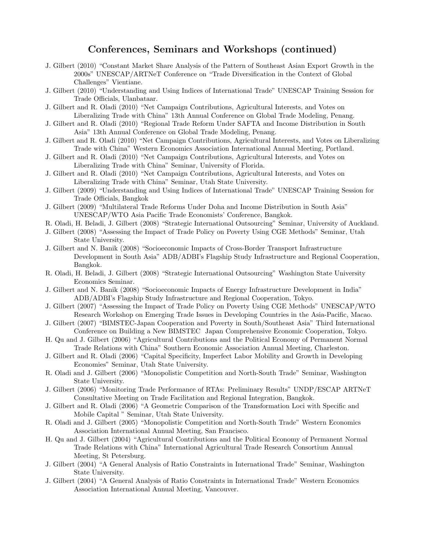# Conferences, Seminars and Workshops (continued)

- J. Gilbert (2010) "Constant Market Share Analysis of the Pattern of Southeast Asian Export Growth in the 2000s" UNESCAP/ARTNeT Conference on "Trade Diversification in the Context of Global Challenges" Vientiane.
- J. Gilbert (2010) "Understanding and Using Indices of International Trade" UNESCAP Training Session for Trade Officials, Ulanbataar.
- J. Gilbert and R. Oladi (2010) "Net Campaign Contributions, Agricultural Interests, and Votes on Liberalizing Trade with China" 13th Annual Conference on Global Trade Modeling, Penang.
- J. Gilbert and R. Oladi (2010) "Regional Trade Reform Under SAFTA and Income Distribution in South Asia" 13th Annual Conference on Global Trade Modeling, Penang.
- J. Gilbert and R. Oladi (2010) "Net Campaign Contributions, Agricultural Interests, and Votes on Liberalizing Trade with China" Western Economics Association International Annual Meeting, Portland.
- J. Gilbert and R. Oladi (2010) "Net Campaign Contributions, Agricultural Interests, and Votes on Liberalizing Trade with China" Seminar, University of Florida.
- J. Gilbert and R. Oladi (2010) "Net Campaign Contributions, Agricultural Interests, and Votes on Liberalizing Trade with China" Seminar, Utah State University.
- J. Gilbert (2009) "Understanding and Using Indices of International Trade" UNESCAP Training Session for Trade Officials, Bangkok
- J. Gilbert (2009) "Multilateral Trade Reforms Under Doha and Income Distribution in South Asia" UNESCAP/WTO Asia Pacific Trade Economists' Conference, Bangkok.
- R. Oladi, H. Beladi, J. Gilbert (2008) "Strategic International Outsourcing" Seminar, University of Auckland.
- J. Gilbert (2008) "Assessing the Impact of Trade Policy on Poverty Using CGE Methods" Seminar, Utah State University.
- J. Gilbert and N. Banik (2008) "Socioeconomic Impacts of Cross-Border Transport Infrastructure Development in South Asia" ADB/ADBI's Flagship Study Infrastructure and Regional Cooperation, Bangkok.
- R. Oladi, H. Beladi, J. Gilbert (2008) "Strategic International Outsourcing" Washington State University Economics Seminar.
- J. Gilbert and N. Banik (2008) "Socioeconomic Impacts of Energy Infrastructure Development in India" ADB/ADBI's Flagship Study Infrastructure and Regional Cooperation, Tokyo.
- J. Gilbert (2007) "Assessing the Impact of Trade Policy on Poverty Using CGE Methods" UNESCAP/WTO Research Workshop on Emerging Trade Issues in Developing Countries in the Asia-Pacific, Macao.
- J. Gilbert (2007) "BIMSTEC-Japan Cooperation and Poverty in South/Southeast Asia" Third International Conference on Building a New BIMSTEC Japan Comprehensive Economic Cooperation, Tokyo.
- H. Qu and J. Gilbert (2006) "Agricultural Contributions and the Political Economy of Permanent Normal Trade Relations with China" Southern Economic Association Annual Meeting, Charleston.
- J. Gilbert and R. Oladi (2006) "Capital Specificity, Imperfect Labor Mobility and Growth in Developing Economies" Seminar, Utah State University.
- R. Oladi and J. Gilbert (2006) "Monopolistic Competition and North-South Trade" Seminar, Washington State University.
- J. Gilbert (2006) "Monitoring Trade Performance of RTAs: Preliminary Results" UNDP/ESCAP ARTNeT Consultative Meeting on Trade Facilitation and Regional Integration, Bangkok.
- J. Gilbert and R. Oladi (2006) "A Geometric Comparison of the Transformation Loci with Specific and Mobile Capital " Seminar, Utah State University.
- R. Oladi and J. Gilbert (2005) "Monopolistic Competition and North-South Trade" Western Economics Association International Annual Meeting, San Francisco.
- H. Qu and J. Gilbert (2004) "Agricultural Contributions and the Political Economy of Permanent Normal Trade Relations with China" International Agricultural Trade Research Consortium Annual Meeting, St Petersburg.
- J. Gilbert (2004) "A General Analysis of Ratio Constraints in International Trade" Seminar, Washington State University.
- J. Gilbert (2004) "A General Analysis of Ratio Constraints in International Trade" Western Economics Association International Annual Meeting, Vancouver.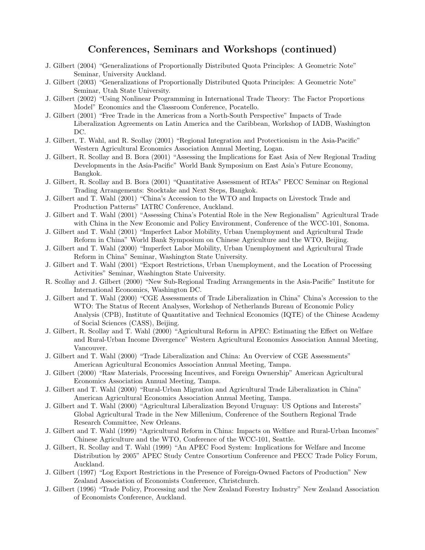# Conferences, Seminars and Workshops (continued)

- J. Gilbert (2004) "Generalizations of Proportionally Distributed Quota Principles: A Geometric Note" Seminar, University Auckland.
- J. Gilbert (2003) "Generalizations of Proportionally Distributed Quota Principles: A Geometric Note" Seminar, Utah State University.
- J. Gilbert (2002) "Using Nonlinear Programming in International Trade Theory: The Factor Proportions Model" Economics and the Classroom Conference, Pocatello.
- J. Gilbert (2001) "Free Trade in the Americas from a North-South Perspective" Impacts of Trade Liberalization Agreements on Latin America and the Caribbean, Workshop of IADB, Washington DC.
- J. Gilbert, T. Wahl, and R. Scollay (2001) "Regional Integration and Protectionism in the Asia-Pacific" Western Agricultural Economics Association Annual Meeting, Logan.
- J. Gilbert, R. Scollay and B. Bora (2001) "Assessing the Implications for East Asia of New Regional Trading Developments in the Asia-Pacific" World Bank Symposium on East Asia's Future Economy, Bangkok.
- J. Gilbert, R. Scollay and B. Bora (2001) "Quantitative Assessment of RTAs" PECC Seminar on Regional Trading Arrangements: Stocktake and Next Steps, Bangkok.
- J. Gilbert and T. Wahl (2001) "China's Accession to the WTO and Impacts on Livestock Trade and Production Patterns" IATRC Conference, Auckland.
- J. Gilbert and T. Wahl (2001) "Assessing China's Potential Role in the New Regionalism" Agricultural Trade with China in the New Economic and Policy Environment, Conference of the WCC-101, Sonoma.
- J. Gilbert and T. Wahl (2001) "Imperfect Labor Mobility, Urban Unemployment and Agricultural Trade Reform in China" World Bank Symposium on Chinese Agriculture and the WTO, Beijing.
- J. Gilbert and T. Wahl (2000) "Imperfect Labor Mobility, Urban Unemployment and Agricultural Trade Reform in China" Seminar, Washington State University.
- J. Gilbert and T. Wahl (2001) "Export Restrictions, Urban Unemployment, and the Location of Processing Activities" Seminar, Washington State University.
- R. Scollay and J. Gilbert (2000) "New Sub-Regional Trading Arrangements in the Asia-Pacific" Institute for International Economics, Washington DC.
- J. Gilbert and T. Wahl (2000) "CGE Assessments of Trade Liberalization in China" China's Accession to the WTO: The Status of Recent Analyses, Workshop of Netherlands Bureau of Economic Policy Analysis (CPB), Institute of Quantitative and Technical Economics (IQTE) of the Chinese Academy of Social Sciences (CASS), Beijing.
- J. Gilbert, R. Scollay and T. Wahl (2000) "Agricultural Reform in APEC: Estimating the Effect on Welfare and Rural-Urban Income Divergence" Western Agricultural Economics Association Annual Meeting, Vancouver.
- J. Gilbert and T. Wahl (2000) "Trade Liberalization and China: An Overview of CGE Assessments" American Agricultural Economics Association Annual Meeting, Tampa.
- J. Gilbert (2000) "Raw Materials, Processing Incentives, and Foreign Ownership" American Agricultural Economics Association Annual Meeting, Tampa.
- J. Gilbert and T. Wahl (2000) "Rural-Urban Migration and Agricultural Trade Liberalization in China" American Agricultural Economics Association Annual Meeting, Tampa.
- J. Gilbert and T. Wahl (2000) "Agricultural Liberalization Beyond Uruguay: US Options and Interests" Global Agricultural Trade in the New Millenium, Conference of the Southern Regional Trade Research Committee, New Orleans.
- J. Gilbert and T. Wahl (1999) "Agricultural Reform in China: Impacts on Welfare and Rural-Urban Incomes" Chinese Agriculture and the WTO, Conference of the WCC-101, Seattle.
- J. Gilbert, R. Scollay and T. Wahl (1999) "An APEC Food System: Implications for Welfare and Income Distribution by 2005" APEC Study Centre Consortium Conference and PECC Trade Policy Forum, Auckland.
- J. Gilbert (1997) "Log Export Restrictions in the Presence of Foreign-Owned Factors of Production" New Zealand Association of Economists Conference, Christchurch.
- J. Gilbert (1996) "Trade Policy, Processing and the New Zealand Forestry Industry" New Zealand Association of Economists Conference, Auckland.